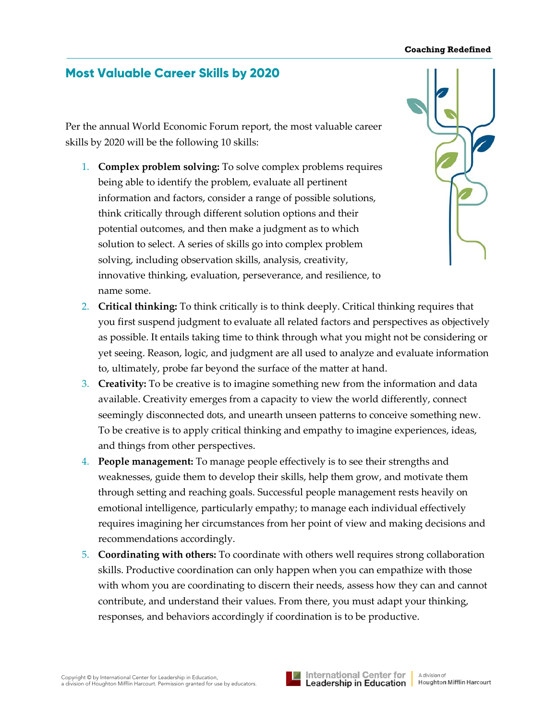## **Coaching Redefined**

## **Most Valuable Career Skills by 2020**

Per the annual World Economic Forum report, the most valuable career skills by 2020 will be the following 10 skills:

1. **Complex problem solving:** To solve complex problems requires being able to identify the problem, evaluate all pertinent information and factors, consider a range of possible solutions, think critically through different solution options and their potential outcomes, and then make a judgment as to which solution to select. A series of skills go into complex problem solving, including observation skills, analysis, creativity, innovative thinking, evaluation, perseverance, and resilience, to name some.



- 2. **Critical thinking:** To think critically is to think deeply. Critical thinking requires that you first suspend judgment to evaluate all related factors and perspectives as objectively as possible. It entails taking time to think through what you might not be considering or yet seeing. Reason, logic, and judgment are all used to analyze and evaluate information to, ultimately, probe far beyond the surface of the matter at hand.
- 3. **Creativity:** To be creative is to imagine something new from the information and data available. Creativity emerges from a capacity to view the world differently, connect seemingly disconnected dots, and unearth unseen patterns to conceive something new. To be creative is to apply critical thinking and empathy to imagine experiences, ideas, and things from other perspectives.
- 4. **People management:** To manage people effectively is to see their strengths and weaknesses, guide them to develop their skills, help them grow, and motivate them through setting and reaching goals. Successful people management rests heavily on emotional intelligence, particularly empathy; to manage each individual effectively requires imagining her circumstances from her point of view and making decisions and recommendations accordingly.
- 5. **Coordinating with others:** To coordinate with others well requires strong collaboration skills. Productive coordination can only happen when you can empathize with those with whom you are coordinating to discern their needs, assess how they can and cannot contribute, and understand their values. From there, you must adapt your thinking, responses, and behaviors accordingly if coordination is to be productive.